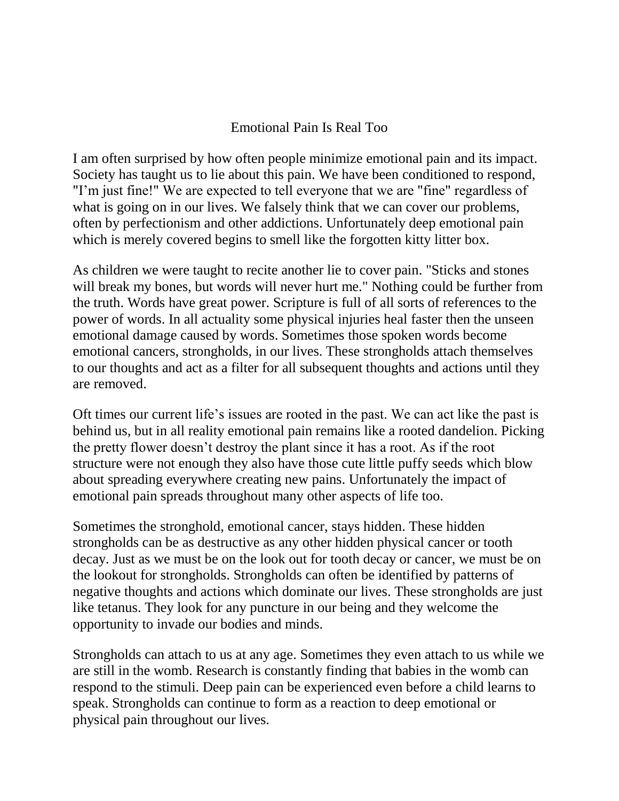## Emotional Pain Is Real Too

I am often surprised by how often people minimize emotional pain and its impact. Society has taught us to lie about this pain. We have been conditioned to respond, "I'm just fine!" We are expected to tell everyone that we are "fine" regardless of what is going on in our lives. We falsely think that we can cover our problems, often by perfectionism and other addictions. Unfortunately deep emotional pain which is merely covered begins to smell like the forgotten kitty litter box.

As children we were taught to recite another lie to cover pain. "Sticks and stones will break my bones, but words will never hurt me." Nothing could be further from the truth. Words have great power. Scripture is full of all sorts of references to the power of words. In all actuality some physical injuries heal faster then the unseen emotional damage caused by words. Sometimes those spoken words become emotional cancers, strongholds, in our lives. These strongholds attach themselves to our thoughts and act as a filter for all subsequent thoughts and actions until they are removed.

Oft times our current life's issues are rooted in the past. We can act like the past is behind us, but in all reality emotional pain remains like a rooted dandelion. Picking the pretty flower doesn't destroy the plant since it has a root. As if the root structure were not enough they also have those cute little puffy seeds which blow about spreading everywhere creating new pains. Unfortunately the impact of emotional pain spreads throughout many other aspects of life too.

Sometimes the stronghold, emotional cancer, stays hidden. These hidden strongholds can be as destructive as any other hidden physical cancer or tooth decay. Just as we must be on the look out for tooth decay or cancer, we must be on the lookout for strongholds. Strongholds can often be identified by patterns of negative thoughts and actions which dominate our lives. These strongholds are just like tetanus. They look for any puncture in our being and they welcome the opportunity to invade our bodies and minds.

Strongholds can attach to us at any age. Sometimes they even attach to us while we are still in the womb. Research is constantly finding that babies in the womb can respond to the stimuli. Deep pain can be experienced even before a child learns to speak. Strongholds can continue to form as a reaction to deep emotional or physical pain throughout our lives.